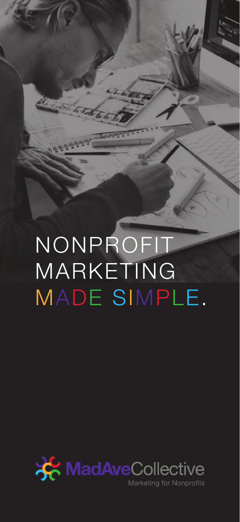NONPROFIT MARKETING MADE SIMPLE.

St. Literature

<u>ு செகுக்க</u>

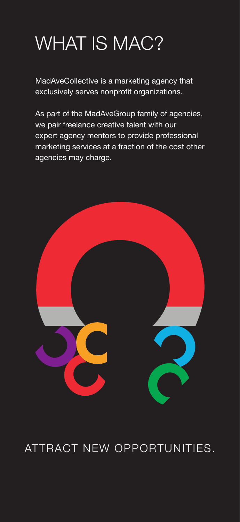## WHAT IS MAC?

MadAveCollective is a marketing agency that exclusively serves nonprofit organizations.

As part of the MadAveGroup family of agencies, we pair freelance creative talent with our expert agency mentors to provide professional marketing services at a fraction of the cost other agencies may charge.



#### ATTRACT NEW OPPORTUNITIES.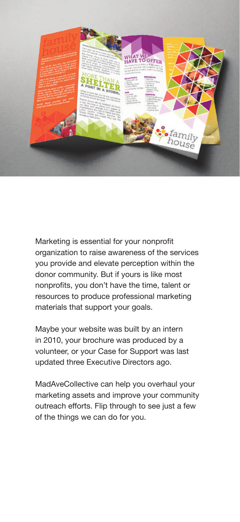

Marketing is essential for your nonprofit organization to raise awareness of the services you provide and elevate perception within the donor community. But if yours is like most nonprofits, you don't have the time, talent or resources to produce professional marketing materials that support your goals.

Maybe your website was built by an intern in 2010, your brochure was produced by a volunteer, or your Case for Support was last updated three Executive Directors ago.

MadAveCollective can help you overhaul your marketing assets and improve your community outreach efforts. Flip through to see just a few of the things we can do for you.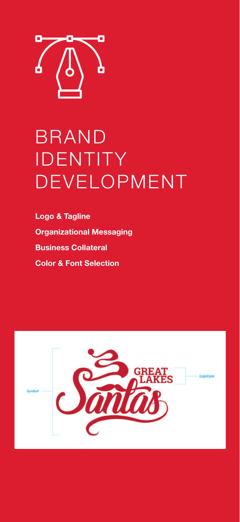

## BRAND IDENTITY DEVELOPMENT

**Logo & Tagline Organizational Messaging Business Collateral Color & Font Selection**

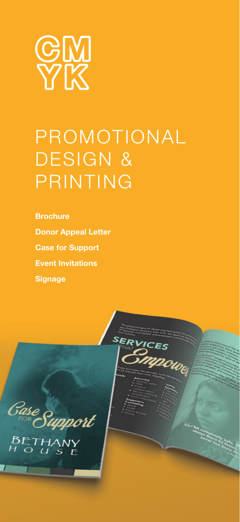

## PROMOTIONAL DESIGN & PRINTING

**Brochure Donor Appeal Letter Case for Support Event Invitations Signage**

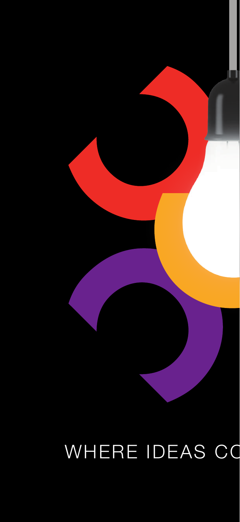## WHERE IDEAS CO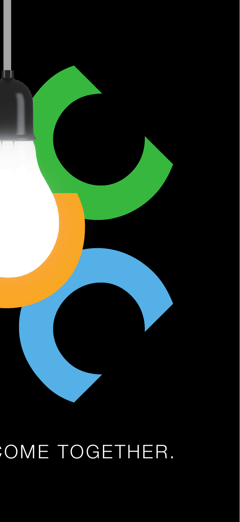

## OME TOGETHER.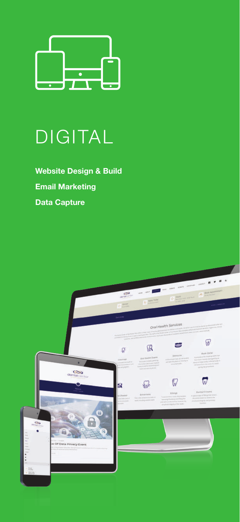

### DIGITAL

**Website Design & Build Email Marketing Data Capture**

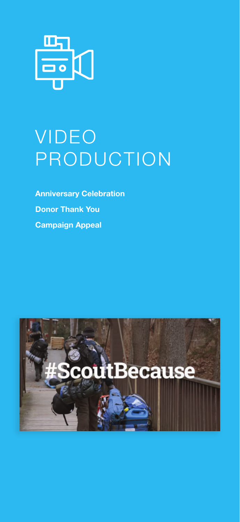

## VIDEO PRODUCTION

**Anniversary Celebration Donor Thank You Campaign Appeal**

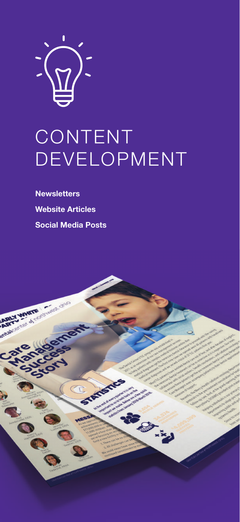

## CONTENT DEVELOPMENT

**Newsletters Website Articles Social Media Posts**

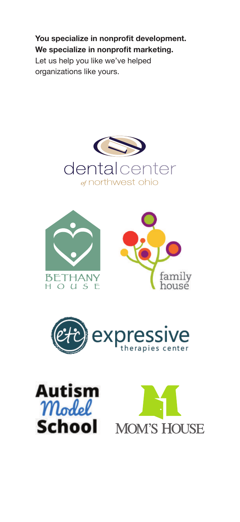**You specialize in nonprofit development. We specialize in nonprofit marketing.**  Let us help you like we've helped organizations like yours.